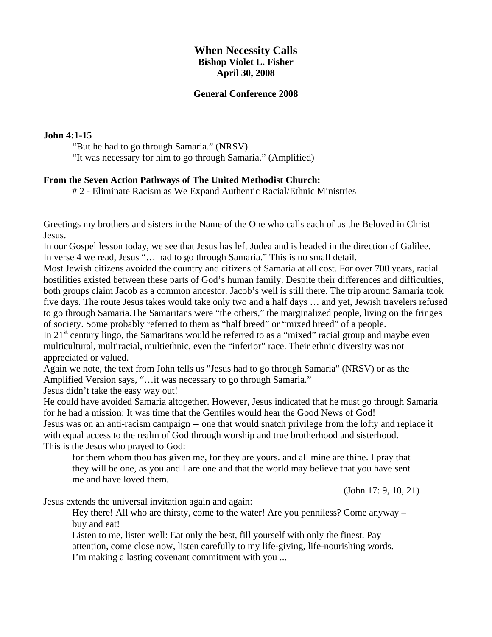# **When Necessity Calls Bishop Violet L. Fisher April 30, 2008**

#### **General Conference 2008**

#### **John 4:1-15**

"But he had to go through Samaria." (NRSV)

"It was necessary for him to go through Samaria." (Amplified)

#### **From the Seven Action Pathways of The United Methodist Church:**

# 2 - Eliminate Racism as We Expand Authentic Racial/Ethnic Ministries

Greetings my brothers and sisters in the Name of the One who calls each of us the Beloved in Christ Jesus.

In our Gospel lesson today, we see that Jesus has left Judea and is headed in the direction of Galilee. In verse 4 we read, Jesus "… had to go through Samaria." This is no small detail.

Most Jewish citizens avoided the country and citizens of Samaria at all cost. For over 700 years, racial hostilities existed between these parts of God's human family. Despite their differences and difficulties, both groups claim Jacob as a common ancestor. Jacob's well is still there. The trip around Samaria took five days. The route Jesus takes would take only two and a half days … and yet, Jewish travelers refused to go through Samaria.The Samaritans were "the others," the marginalized people, living on the fringes of society. Some probably referred to them as "half breed" or "mixed breed" of a people.

In  $21<sup>st</sup>$  century lingo, the Samaritans would be referred to as a "mixed" racial group and maybe even multicultural, multiracial, multiethnic, even the "inferior" race. Their ethnic diversity was not appreciated or valued.

Again we note, the text from John tells us "Jesus had to go through Samaria" (NRSV) or as the Amplified Version says, "…it was necessary to go through Samaria."

Jesus didn't take the easy way out!

He could have avoided Samaria altogether. However, Jesus indicated that he must go through Samaria for he had a mission: It was time that the Gentiles would hear the Good News of God! Jesus was on an anti-racism campaign -- one that would snatch privilege from the lofty and replace it with equal access to the realm of God through worship and true brotherhood and sisterhood.

This is the Jesus who prayed to God:

for them whom thou has given me, for they are yours. and all mine are thine. I pray that they will be one, as you and I are one and that the world may believe that you have sent me and have loved them*.*

(John 17: 9, 10, 21)

Jesus extends the universal invitation again and again:

Hey there! All who are thirsty, come to the water! Are you penniless? Come anyway – buy and eat!

Listen to me, listen well: Eat only the best, fill yourself with only the finest. Pay attention, come close now, listen carefully to my life-giving, life-nourishing words. I'm making a lasting covenant commitment with you ...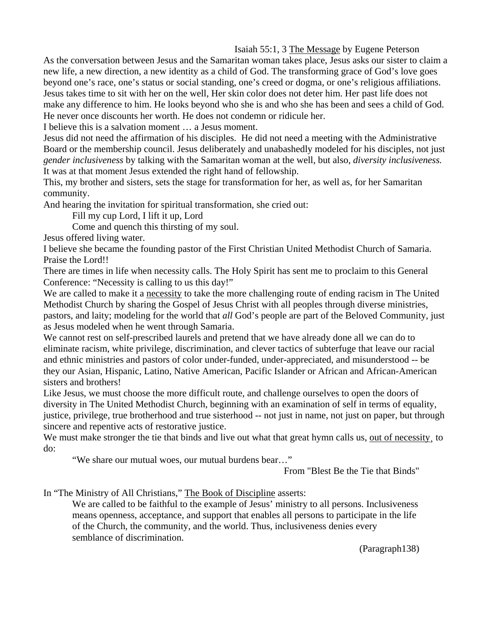Isaiah 55:1, 3 The Message by Eugene Peterson

As the conversation between Jesus and the Samaritan woman takes place, Jesus asks our sister to claim a new life, a new direction, a new identity as a child of God. The transforming grace of God's love goes beyond one's race, one's status or social standing, one's creed or dogma, or one's religious affiliations. Jesus takes time to sit with her on the well, Her skin color does not deter him. Her past life does not make any difference to him. He looks beyond who she is and who she has been and sees a child of God. He never once discounts her worth. He does not condemn or ridicule her.

I believe this is a salvation moment … a Jesus moment.

Jesus did not need the affirmation of his disciples. He did not need a meeting with the Administrative Board or the membership council. Jesus deliberately and unabashedly modeled for his disciples, not just *gender inclusiveness* by talking with the Samaritan woman at the well, but also, *diversity inclusiveness.* It was at that moment Jesus extended the right hand of fellowship.

This, my brother and sisters, sets the stage for transformation for her, as well as, for her Samaritan community.

And hearing the invitation for spiritual transformation, she cried out:

Fill my cup Lord, I lift it up, Lord

Come and quench this thirsting of my soul.

Jesus offered living water.

I believe she became the founding pastor of the First Christian United Methodist Church of Samaria. Praise the Lord!!

There are times in life when necessity calls. The Holy Spirit has sent me to proclaim to this General Conference: "Necessity is calling to us this day!"

We are called to make it a necessity to take the more challenging route of ending racism in The United Methodist Church by sharing the Gospel of Jesus Christ with all peoples through diverse ministries, pastors, and laity; modeling for the world that *all* God's people are part of the Beloved Community, just as Jesus modeled when he went through Samaria.

We cannot rest on self-prescribed laurels and pretend that we have already done all we can do to eliminate racism, white privilege, discrimination, and clever tactics of subterfuge that leave our racial and ethnic ministries and pastors of color under-funded, under-appreciated, and misunderstood -- be they our Asian, Hispanic, Latino, Native American, Pacific Islander or African and African-American sisters and brothers!

Like Jesus, we must choose the more difficult route, and challenge ourselves to open the doors of diversity in The United Methodist Church, beginning with an examination of self in terms of equality, justice, privilege, true brotherhood and true sisterhood -- not just in name, not just on paper, but through sincere and repentive acts of restorative justice.

We must make stronger the tie that binds and live out what that great hymn calls us, <u>out of necessity</u>, to do:

"We share our mutual woes, our mutual burdens bear…"

From "Blest Be the Tie that Binds"

In "The Ministry of All Christians," The Book of Discipline asserts:

We are called to be faithful to the example of Jesus' ministry to all persons. Inclusiveness means openness, acceptance, and support that enables all persons to participate in the life of the Church, the community, and the world. Thus, inclusiveness denies every semblance of discrimination.

(Paragraph138)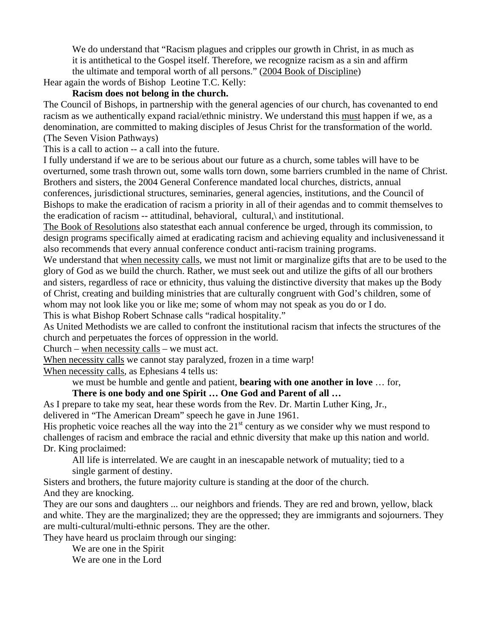We do understand that "Racism plagues and cripples our growth in Christ, in as much as it is antithetical to the Gospel itself. Therefore, we recognize racism as a sin and affirm the ultimate and temporal worth of all persons." (2004 Book of Discipline)

Hear again the words of Bishop Leotine T.C. Kelly:

# **Racism does not belong in the church.**

The Council of Bishops, in partnership with the general agencies of our church, has covenanted to end racism as we authentically expand racial/ethnic ministry. We understand this must happen if we, as a denomination, are committed to making disciples of Jesus Christ for the transformation of the world. (The Seven Vision Pathways)

This is a call to action -- a call into the future.

I fully understand if we are to be serious about our future as a church, some tables will have to be overturned, some trash thrown out, some walls torn down, some barriers crumbled in the name of Christ. Brothers and sisters, the 2004 General Conference mandated local churches, districts, annual conferences, jurisdictional structures, seminaries, general agencies, institutions, and the Council of Bishops to make the eradication of racism a priority in all of their agendas and to commit themselves to the eradication of racism -- attitudinal, behavioral, cultural,\ and institutional.

The Book of Resolutions also statesthat each annual conference be urged, through its commission, to design programs specifically aimed at eradicating racism and achieving equality and inclusivenessand it also recommends that every annual conference conduct anti-racism training programs.

We understand that when necessity calls, we must not limit or marginalize gifts that are to be used to the glory of God as we build the church. Rather, we must seek out and utilize the gifts of all our brothers and sisters, regardless of race or ethnicity, thus valuing the distinctive diversity that makes up the Body of Christ, creating and building ministries that are culturally congruent with God's children, some of whom may not look like you or like me; some of whom may not speak as you do or I do. This is what Bishop Robert Schnase calls "radical hospitality."

As United Methodists we are called to confront the institutional racism that infects the structures of the church and perpetuates the forces of oppression in the world.

Church – when necessity calls – we must act.

When necessity calls we cannot stay paralyzed, frozen in a time warp!

When necessity calls, as Ephesians 4 tells us:

we must be humble and gentle and patient, **bearing with one another in love** … for,

### **There is one body and one Spirit … One God and Parent of all …**

As I prepare to take my seat, hear these words from the Rev. Dr. Martin Luther King, Jr., delivered in "The American Dream" speech he gave in June 1961.

His prophetic voice reaches all the way into the  $21<sup>st</sup>$  century as we consider why we must respond to challenges of racism and embrace the racial and ethnic diversity that make up this nation and world. Dr. King proclaimed:

All life is interrelated. We are caught in an inescapable network of mutuality; tied to a single garment of destiny.

Sisters and brothers, the future majority culture is standing at the door of the church.

And they are knocking.

They are our sons and daughters ... our neighbors and friends. They are red and brown, yellow, black and white. They are the marginalized; they are the oppressed; they are immigrants and sojourners. They are multi-cultural/multi-ethnic persons. They are the other.

They have heard us proclaim through our singing:

We are one in the Spirit We are one in the Lord